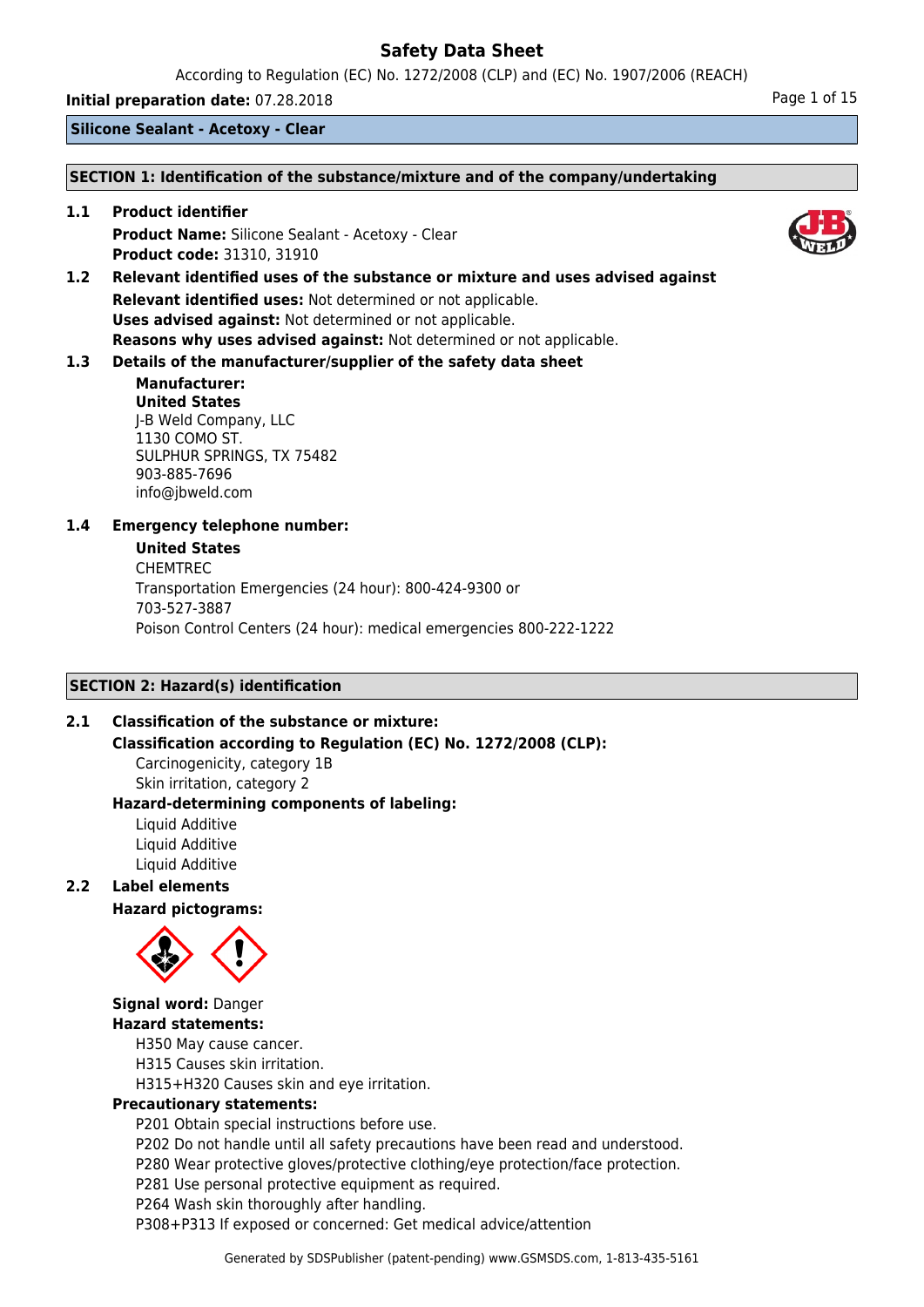According to Regulation (EC) No. 1272/2008 (CLP) and (EC) No. 1907/2006 (REACH)

**Initial preparation date:** 07.28.2018 **Page 1 of 15** 

**Silicone Sealant - Acetoxy - Clear**

#### **SECTION 1: Identification of the substance/mixture and of the company/undertaking**

**1.1 Product identifier Product Name:** Silicone Sealant - Acetoxy - Clear **Product code:** 31310, 31910

**1.2 Relevant identified uses of the substance or mixture and uses advised against Relevant identified uses:** Not determined or not applicable. **Uses advised against:** Not determined or not applicable. **Reasons why uses advised against:** Not determined or not applicable.

### **1.3 Details of the manufacturer/supplier of the safety data sheet**

#### **Manufacturer: United States** J-B Weld Company, LLC 1130 COMO ST. SULPHUR SPRINGS, TX 75482 903-885-7696 info@jbweld.com

### **1.4 Emergency telephone number:**

#### **United States**

CHEMTREC Transportation Emergencies (24 hour): 800-424-9300 or 703-527-3887 Poison Control Centers (24 hour): medical emergencies 800-222-1222

### **SECTION 2: Hazard(s) identification**

### **2.1 Classification of the substance or mixture:**

**Classification according to Regulation (EC) No. 1272/2008 (CLP):**

Carcinogenicity, category 1B Skin irritation, category 2

#### **Hazard-determining components of labeling:** Liquid Additive

Liquid Additive Liquid Additive

### **2.2 Label elements**

**Hazard pictograms:**



### **Signal word:** Danger **Hazard statements:**

H350 May cause cancer.

H315 Causes skin irritation.

H315+H320 Causes skin and eye irritation.

### **Precautionary statements:**

P201 Obtain special instructions before use.

P202 Do not handle until all safety precautions have been read and understood.

P280 Wear protective gloves/protective clothing/eye protection/face protection.

P281 Use personal protective equipment as required.

P264 Wash skin thoroughly after handling.

P308+P313 If exposed or concerned: Get medical advice/attention

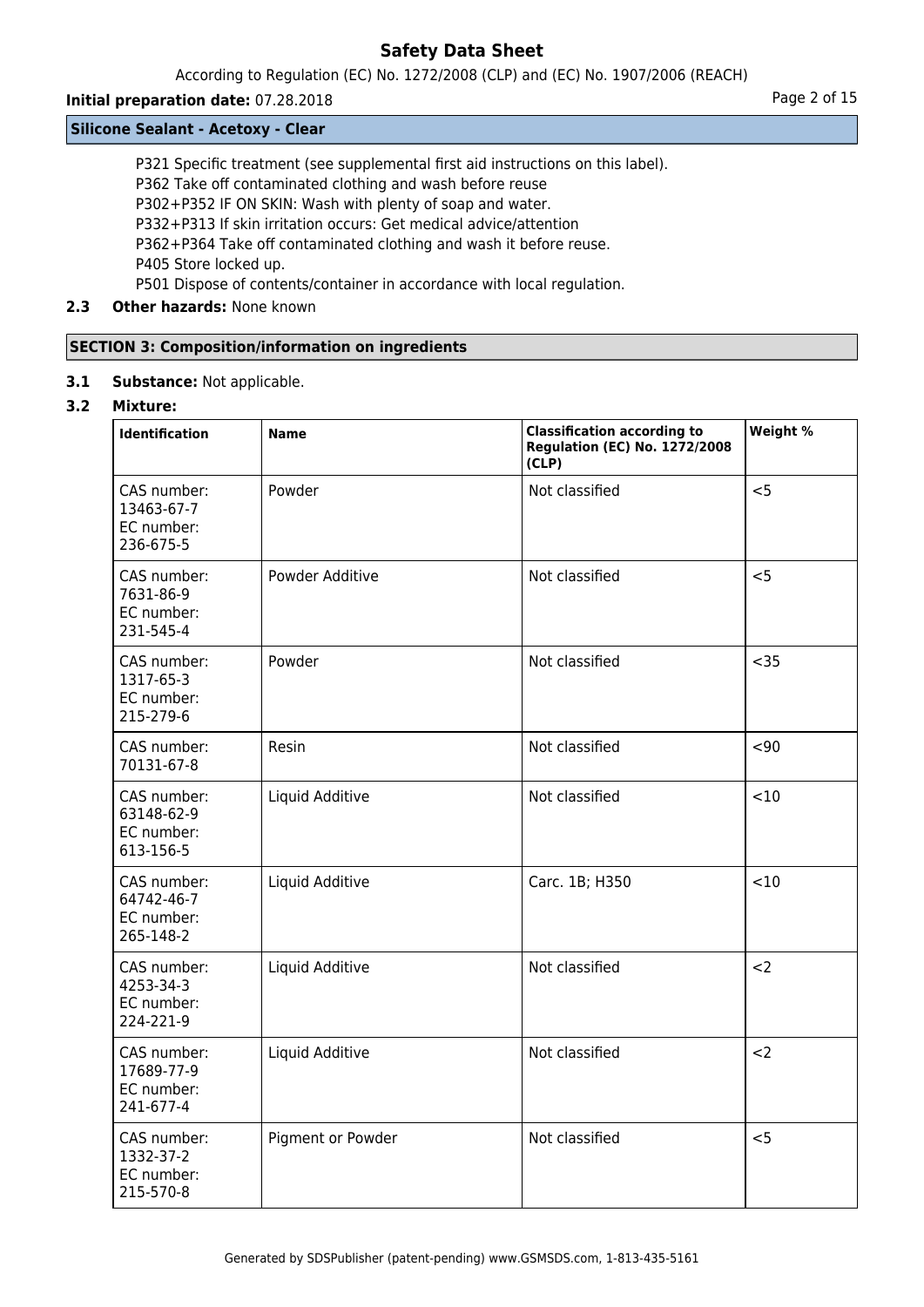According to Regulation (EC) No. 1272/2008 (CLP) and (EC) No. 1907/2006 (REACH)

### **Initial preparation date:** 07.28.2018 **Page 2 of 15**

#### **Silicone Sealant - Acetoxy - Clear**

P321 Specific treatment (see supplemental first aid instructions on this label).

P362 Take off contaminated clothing and wash before reuse

P302+P352 IF ON SKIN: Wash with plenty of soap and water.

P332+P313 If skin irritation occurs: Get medical advice/attention

P362+P364 Take off contaminated clothing and wash it before reuse.

P405 Store locked up.

P501 Dispose of contents/container in accordance with local regulation.

### **2.3 Other hazards:** None known

### **SECTION 3: Composition/information on ingredients**

**3.1 Substance:** Not applicable.

#### **3.2 Mixture:**

| <b>Identification</b>                                | <b>Name</b>       | <b>Classification according to</b><br><b>Regulation (EC) No. 1272/2008</b><br>(CLP) | Weight % |
|------------------------------------------------------|-------------------|-------------------------------------------------------------------------------------|----------|
| CAS number:<br>13463-67-7<br>EC number:<br>236-675-5 | Powder            | Not classified                                                                      | < 5      |
| CAS number:<br>7631-86-9<br>EC number:<br>231-545-4  | Powder Additive   | Not classified                                                                      | < 5      |
| CAS number:<br>1317-65-3<br>EC number:<br>215-279-6  | Powder            | Not classified                                                                      | $35$     |
| CAS number:<br>70131-67-8                            | Resin             | Not classified                                                                      | $90$     |
| CAS number:<br>63148-62-9<br>EC number:<br>613-156-5 | Liquid Additive   | Not classified                                                                      | <10      |
| CAS number:<br>64742-46-7<br>EC number:<br>265-148-2 | Liquid Additive   | Carc. 1B; H350                                                                      | < 10     |
| CAS number:<br>4253-34-3<br>EC number:<br>224-221-9  | Liquid Additive   | Not classified                                                                      | $2$      |
| CAS number:<br>17689-77-9<br>EC number:<br>241-677-4 | Liquid Additive   | Not classified                                                                      | $2$      |
| CAS number:<br>1332-37-2<br>EC number:<br>215-570-8  | Pigment or Powder | Not classified                                                                      | < 5      |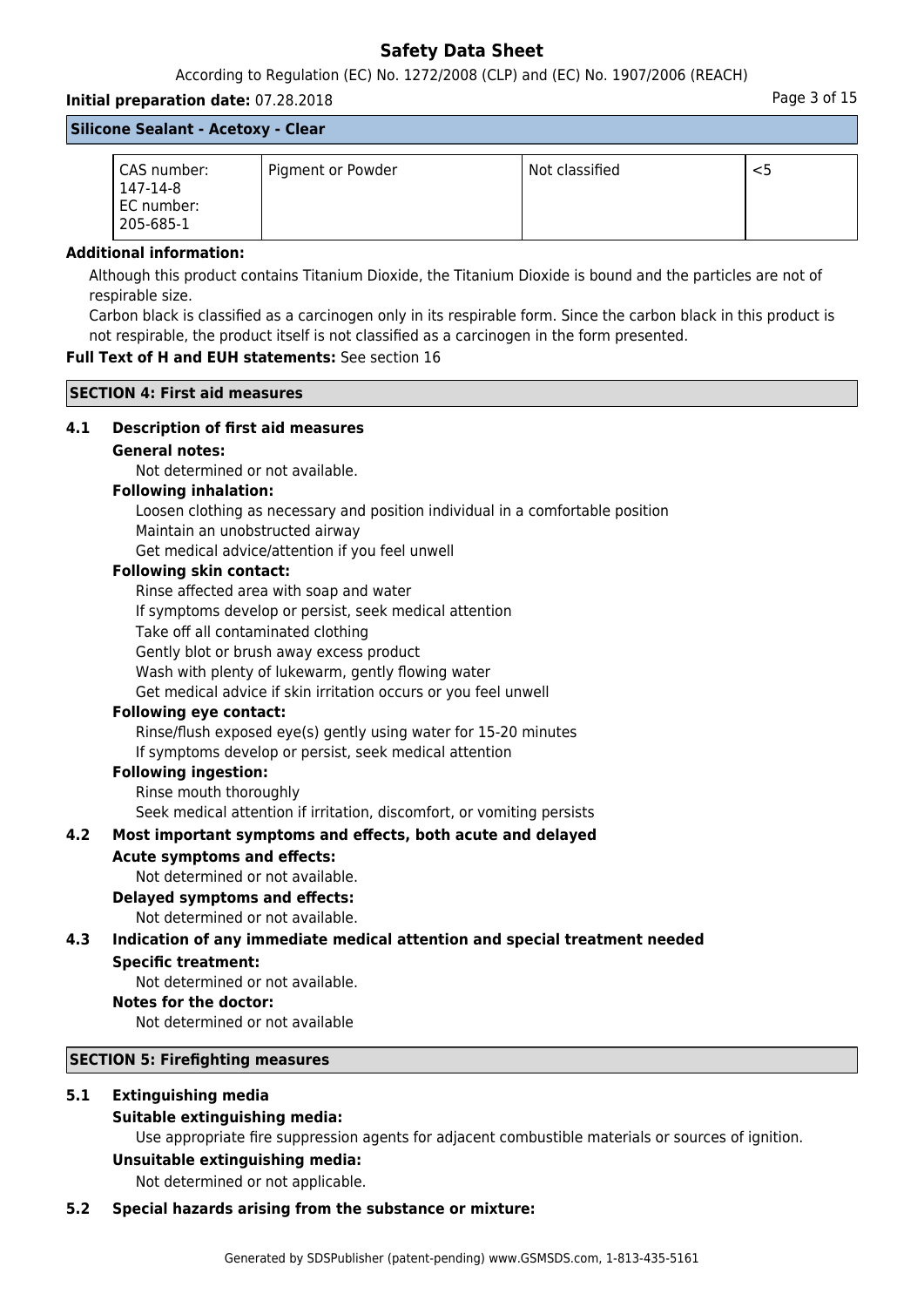According to Regulation (EC) No. 1272/2008 (CLP) and (EC) No. 1907/2006 (REACH)

# **Initial preparation date:** 07.28.2018 **Page 3 of 15** and the page 3 of 15 **Silicone Sealant - Acetoxy - Clear**

| CAS number:<br>147-14-8<br>EC number:<br>205-685-1 | Pigment or Powder | Not classified |  |
|----------------------------------------------------|-------------------|----------------|--|

#### **Additional information:**

Although this product contains Titanium Dioxide, the Titanium Dioxide is bound and the particles are not of respirable size.

Carbon black is classified as a carcinogen only in its respirable form. Since the carbon black in this product is not respirable, the product itself is not classified as a carcinogen in the form presented.

### **Full Text of H and EUH statements:** See section 16

#### **SECTION 4: First aid measures**

### **4.1 Description of first aid measures**

#### **General notes:**

Not determined or not available.

#### **Following inhalation:**

Loosen clothing as necessary and position individual in a comfortable position Maintain an unobstructed airway

Get medical advice/attention if you feel unwell

#### **Following skin contact:**

Rinse affected area with soap and water

If symptoms develop or persist, seek medical attention

Take off all contaminated clothing

Gently blot or brush away excess product

Wash with plenty of lukewarm, gently flowing water

Get medical advice if skin irritation occurs or you feel unwell

### **Following eye contact:**

Rinse/flush exposed eye(s) gently using water for 15-20 minutes If symptoms develop or persist, seek medical attention

### **Following ingestion:**

Rinse mouth thoroughly

Seek medical attention if irritation, discomfort, or vomiting persists

### **4.2 Most important symptoms and effects, both acute and delayed**

### **Acute symptoms and effects:**

Not determined or not available.

#### **Delayed symptoms and effects:**

Not determined or not available.

# **4.3 Indication of any immediate medical attention and special treatment needed**

### **Specific treatment:**

Not determined or not available.

#### **Notes for the doctor:**

Not determined or not available

#### **SECTION 5: Firefighting measures**

### **5.1 Extinguishing media**

### **Suitable extinguishing media:**

Use appropriate fire suppression agents for adjacent combustible materials or sources of ignition.

### **Unsuitable extinguishing media:**

Not determined or not applicable.

### **5.2 Special hazards arising from the substance or mixture:**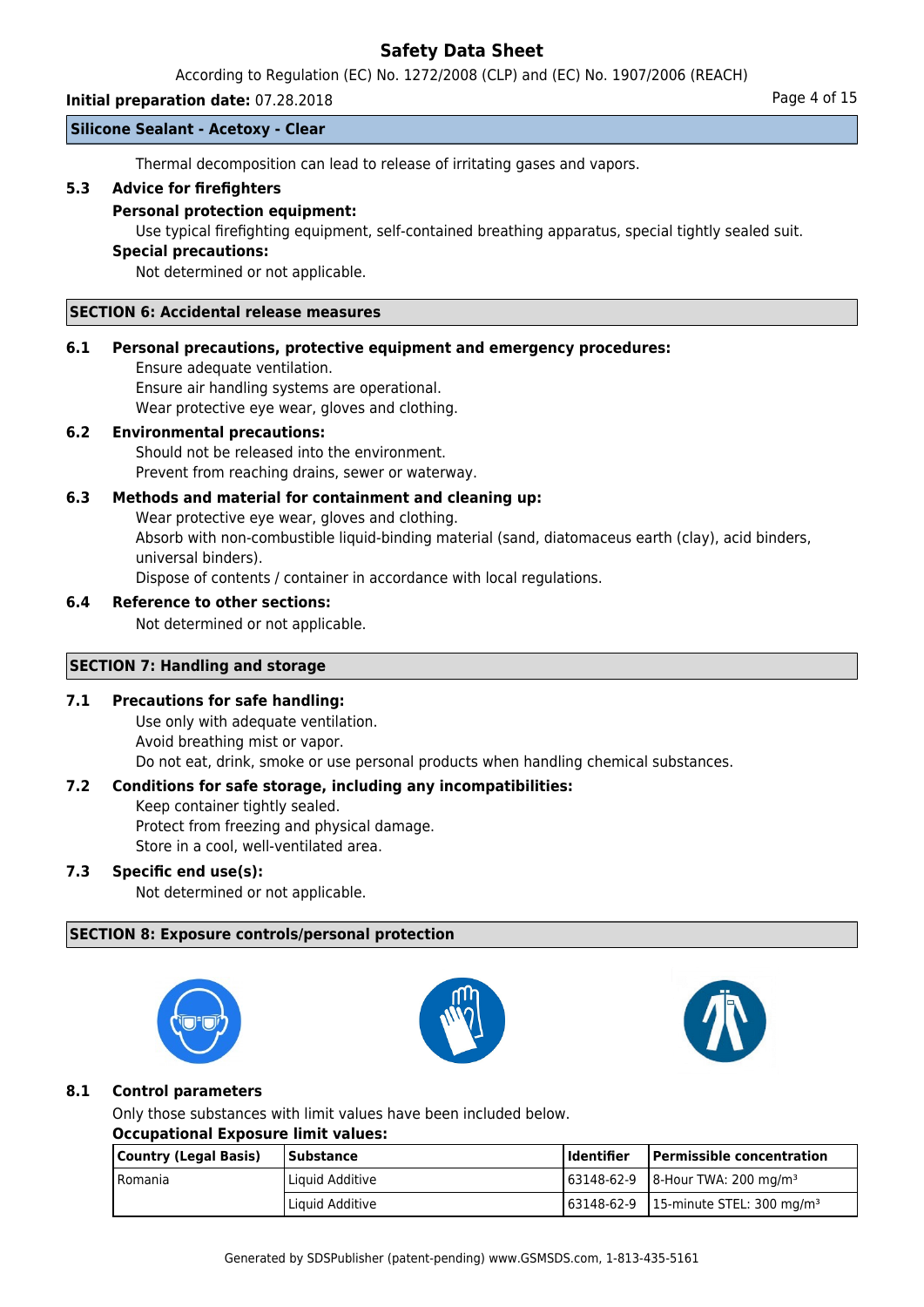According to Regulation (EC) No. 1272/2008 (CLP) and (EC) No. 1907/2006 (REACH)

#### **Initial preparation date:** 07.28.2018 **Page 4 of 15**

#### **Silicone Sealant - Acetoxy - Clear**

Thermal decomposition can lead to release of irritating gases and vapors.

### **5.3 Advice for firefighters**

#### **Personal protection equipment:**

Use typical firefighting equipment, self-contained breathing apparatus, special tightly sealed suit.

#### **Special precautions:**

Not determined or not applicable.

#### **SECTION 6: Accidental release measures**

#### **6.1 Personal precautions, protective equipment and emergency procedures:**

Ensure adequate ventilation. Ensure air handling systems are operational. Wear protective eye wear, gloves and clothing.

#### **6.2 Environmental precautions:**

Should not be released into the environment. Prevent from reaching drains, sewer or waterway.

### **6.3 Methods and material for containment and cleaning up:**

Wear protective eye wear, gloves and clothing. Absorb with non-combustible liquid-binding material (sand, diatomaceus earth (clay), acid binders, universal binders). Dispose of contents / container in accordance with local regulations.

#### **6.4 Reference to other sections:**

Not determined or not applicable.

#### **SECTION 7: Handling and storage**

### **7.1 Precautions for safe handling:**

Use only with adequate ventilation. Avoid breathing mist or vapor. Do not eat, drink, smoke or use personal products when handling chemical substances.

### **7.2 Conditions for safe storage, including any incompatibilities:**

Keep container tightly sealed. Protect from freezing and physical damage.

Store in a cool, well-ventilated area.

### **7.3 Specific end use(s):**

Not determined or not applicable.

### **SECTION 8: Exposure controls/personal protection**







### **8.1 Control parameters**

Only those substances with limit values have been included below.

#### **Occupational Exposure limit values:**

| Country (Legal Basis) | Substance       | l Identifier | Permissible concentration                                   |
|-----------------------|-----------------|--------------|-------------------------------------------------------------|
| l Romania             | Liquid Additive |              | $\frac{163148-62-9}{8}$   8-Hour TWA: 200 mg/m <sup>3</sup> |
|                       | Liquid Additive |              | $163148-62-9$   15-minute STEL: 300 mg/m <sup>3</sup>       |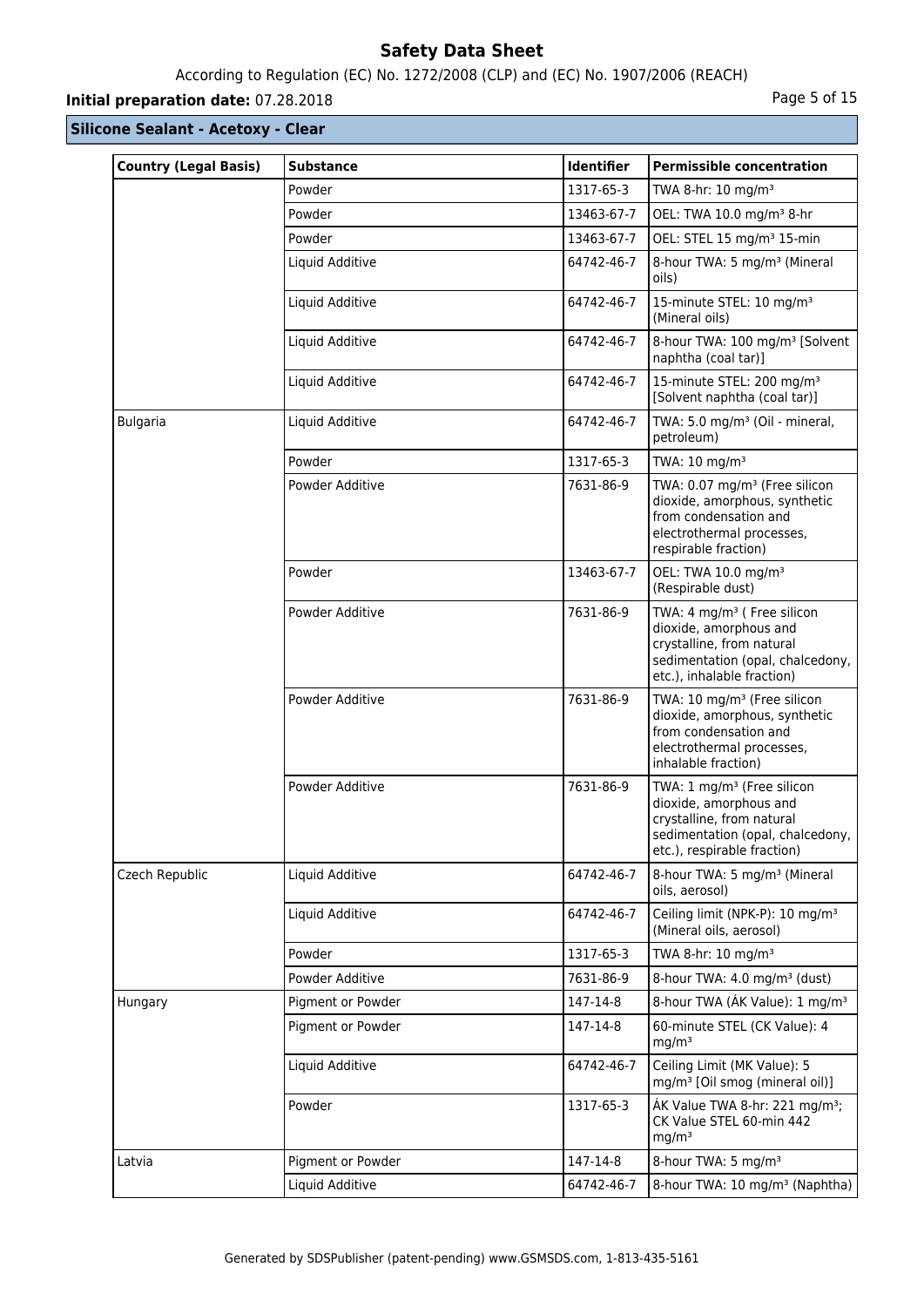## According to Regulation (EC) No. 1272/2008 (CLP) and (EC) No. 1907/2006 (REACH)

## **Initial preparation date:** 07.28.2018 **Page 1 and 2018** Page 5 of 15

| <b>Country (Legal Basis)</b> | <b>Substance</b>  | <b>Identifier</b> | <b>Permissible concentration</b>                                                                                                                                 |
|------------------------------|-------------------|-------------------|------------------------------------------------------------------------------------------------------------------------------------------------------------------|
|                              | Powder            | 1317-65-3         | TWA 8-hr: 10 mg/m <sup>3</sup>                                                                                                                                   |
|                              | Powder            | 13463-67-7        | OEL: TWA 10.0 mg/m <sup>3</sup> 8-hr                                                                                                                             |
|                              | Powder            | 13463-67-7        | OEL: STEL 15 mg/m <sup>3</sup> 15-min                                                                                                                            |
|                              | Liquid Additive   | 64742-46-7        | 8-hour TWA: 5 mg/m <sup>3</sup> (Mineral<br>oils)                                                                                                                |
|                              | Liquid Additive   | 64742-46-7        | 15-minute STEL: 10 mg/m <sup>3</sup><br>(Mineral oils)                                                                                                           |
|                              | Liquid Additive   | 64742-46-7        | 8-hour TWA: 100 mg/m <sup>3</sup> [Solvent<br>naphtha (coal tar)]                                                                                                |
|                              | Liquid Additive   | 64742-46-7        | 15-minute STEL: 200 mg/m <sup>3</sup><br>[Solvent naphtha (coal tar)]                                                                                            |
| <b>Bulgaria</b>              | Liquid Additive   | 64742-46-7        | TWA: 5.0 mg/m <sup>3</sup> (Oil - mineral,<br>petroleum)                                                                                                         |
|                              | Powder            | 1317-65-3         | TWA: 10 mg/m <sup>3</sup>                                                                                                                                        |
|                              | Powder Additive   | 7631-86-9         | TWA: 0.07 mg/m <sup>3</sup> (Free silicon<br>dioxide, amorphous, synthetic<br>from condensation and<br>electrothermal processes,<br>respirable fraction)         |
|                              | Powder            | 13463-67-7        | OEL: TWA 10.0 mg/m <sup>3</sup><br>(Respirable dust)                                                                                                             |
|                              | Powder Additive   | 7631-86-9         | TWA: 4 mg/m <sup>3</sup> ( Free silicon<br>dioxide, amorphous and<br>crystalline, from natural<br>sedimentation (opal, chalcedony,<br>etc.), inhalable fraction) |
|                              | Powder Additive   | 7631-86-9         | TWA: 10 mg/m <sup>3</sup> (Free silicon<br>dioxide, amorphous, synthetic<br>from condensation and<br>electrothermal processes,<br>inhalable fraction)            |
|                              | Powder Additive   | 7631-86-9         | TWA: 1 mg/m <sup>3</sup> (Free silicon<br>dioxide, amorphous and<br>crystalline, from natural<br>sedimentation (opal, chalcedony,<br>etc.), respirable fraction) |
| Czech Republic               | Liquid Additive   | 64742-46-7        | 8-hour TWA: 5 mg/m <sup>3</sup> (Mineral<br>oils, aerosol)                                                                                                       |
|                              | Liquid Additive   | 64742-46-7        | Ceiling limit (NPK-P): 10 mg/m <sup>3</sup><br>(Mineral oils, aerosol)                                                                                           |
|                              | Powder            | 1317-65-3         | TWA 8-hr: 10 mg/m <sup>3</sup>                                                                                                                                   |
|                              | Powder Additive   | 7631-86-9         | 8-hour TWA: 4.0 mg/m <sup>3</sup> (dust)                                                                                                                         |
| Hungary                      | Pigment or Powder | 147-14-8          | 8-hour TWA (AK Value): 1 mg/m <sup>3</sup>                                                                                                                       |
|                              | Pigment or Powder | 147-14-8          | 60-minute STEL (CK Value): 4<br>mg/m <sup>3</sup>                                                                                                                |
|                              | Liquid Additive   | 64742-46-7        | Ceiling Limit (MK Value): 5<br>mg/m <sup>3</sup> [Oil smog (mineral oil)]                                                                                        |
|                              | Powder            | 1317-65-3         | ÁK Value TWA 8-hr: 221 mg/m <sup>3</sup> ;<br>CK Value STEL 60-min 442<br>mg/m <sup>3</sup>                                                                      |
| Latvia                       | Pigment or Powder | 147-14-8          | 8-hour TWA: 5 mg/m <sup>3</sup>                                                                                                                                  |
|                              | Liquid Additive   | 64742-46-7        | 8-hour TWA: 10 mg/m <sup>3</sup> (Naphtha)                                                                                                                       |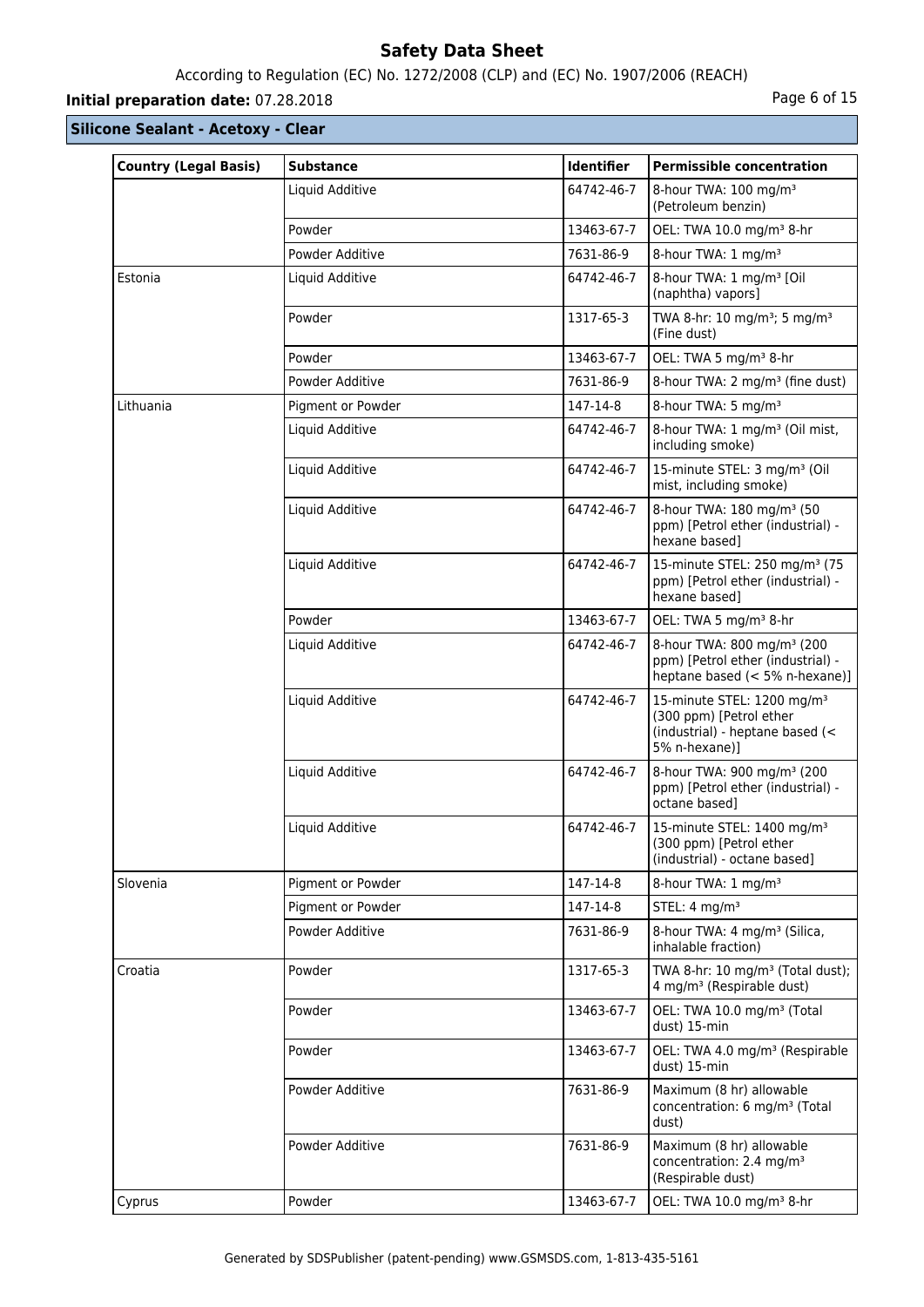## According to Regulation (EC) No. 1272/2008 (CLP) and (EC) No. 1907/2006 (REACH)

## **Initial preparation date:** 07.28.2018 **Page 6 of 15**

| <b>Country (Legal Basis)</b> | <b>Substance</b>  | <b>Identifier</b> | <b>Permissible concentration</b>                                                                                      |
|------------------------------|-------------------|-------------------|-----------------------------------------------------------------------------------------------------------------------|
|                              | Liquid Additive   | 64742-46-7        | 8-hour TWA: 100 mg/m <sup>3</sup><br>(Petroleum benzin)                                                               |
|                              | Powder            | 13463-67-7        | OEL: TWA 10.0 mg/m <sup>3</sup> 8-hr                                                                                  |
|                              | Powder Additive   | 7631-86-9         | 8-hour TWA: 1 mg/m <sup>3</sup>                                                                                       |
| Estonia                      | Liquid Additive   | 64742-46-7        | 8-hour TWA: 1 mg/m <sup>3</sup> [Oil<br>(naphtha) vapors]                                                             |
|                              | Powder            | 1317-65-3         | TWA 8-hr: 10 mg/m <sup>3</sup> ; 5 mg/m <sup>3</sup><br>(Fine dust)                                                   |
|                              | Powder            | 13463-67-7        | OEL: TWA 5 mg/m <sup>3</sup> 8-hr                                                                                     |
|                              | Powder Additive   | 7631-86-9         | 8-hour TWA: 2 mg/m <sup>3</sup> (fine dust)                                                                           |
| Lithuania                    | Pigment or Powder | 147-14-8          | 8-hour TWA: 5 mg/m <sup>3</sup>                                                                                       |
|                              | Liquid Additive   | 64742-46-7        | 8-hour TWA: 1 mg/m <sup>3</sup> (Oil mist,<br>including smoke)                                                        |
|                              | Liquid Additive   | 64742-46-7        | 15-minute STEL: 3 mg/m <sup>3</sup> (Oil<br>mist, including smoke)                                                    |
|                              | Liquid Additive   | 64742-46-7        | 8-hour TWA: 180 mg/m <sup>3</sup> (50<br>ppm) [Petrol ether (industrial) -<br>hexane based]                           |
|                              | Liquid Additive   | 64742-46-7        | 15-minute STEL: 250 mg/m <sup>3</sup> (75<br>ppm) [Petrol ether (industrial) -<br>hexane based1                       |
|                              | Powder            | 13463-67-7        | OEL: TWA 5 mg/m <sup>3</sup> 8-hr                                                                                     |
|                              | Liquid Additive   | 64742-46-7        | 8-hour TWA: 800 mg/m <sup>3</sup> (200<br>ppm) [Petrol ether (industrial) -<br>heptane based (< 5% n-hexane)]         |
|                              | Liquid Additive   | 64742-46-7        | 15-minute STEL: 1200 mg/m <sup>3</sup><br>(300 ppm) [Petrol ether<br>(industrial) - heptane based (<<br>5% n-hexane)] |
|                              | Liquid Additive   | 64742-46-7        | 8-hour TWA: 900 mg/m <sup>3</sup> (200<br>ppm) [Petrol ether (industrial) -<br>octane based]                          |
|                              | Liquid Additive   | 64742-46-7        | 15-minute STEL: 1400 mg/m <sup>3</sup><br>(300 ppm) [Petrol ether<br>(industrial) - octane based]                     |
| Slovenia                     | Pigment or Powder | 147-14-8          | 8-hour TWA: 1 mg/m <sup>3</sup>                                                                                       |
|                              | Pigment or Powder | 147-14-8          | STEL: 4 mg/m <sup>3</sup>                                                                                             |
|                              | Powder Additive   | 7631-86-9         | 8-hour TWA: 4 mg/m <sup>3</sup> (Silica,<br>inhalable fraction)                                                       |
| Croatia                      | Powder            | 1317-65-3         | TWA 8-hr: 10 mg/m <sup>3</sup> (Total dust);<br>4 mg/m <sup>3</sup> (Respirable dust)                                 |
|                              | Powder            | 13463-67-7        | OEL: TWA 10.0 mg/m <sup>3</sup> (Total<br>dust) 15-min                                                                |
|                              | Powder            | 13463-67-7        | OEL: TWA 4.0 mg/m <sup>3</sup> (Respirable<br>dust) 15-min                                                            |
|                              | Powder Additive   | 7631-86-9         | Maximum (8 hr) allowable<br>concentration: 6 mg/m <sup>3</sup> (Total<br>dust)                                        |
|                              | Powder Additive   | 7631-86-9         | Maximum (8 hr) allowable<br>concentration: 2.4 mg/m <sup>3</sup><br>(Respirable dust)                                 |
| Cyprus                       | Powder            | 13463-67-7        | OEL: TWA 10.0 mg/m <sup>3</sup> 8-hr                                                                                  |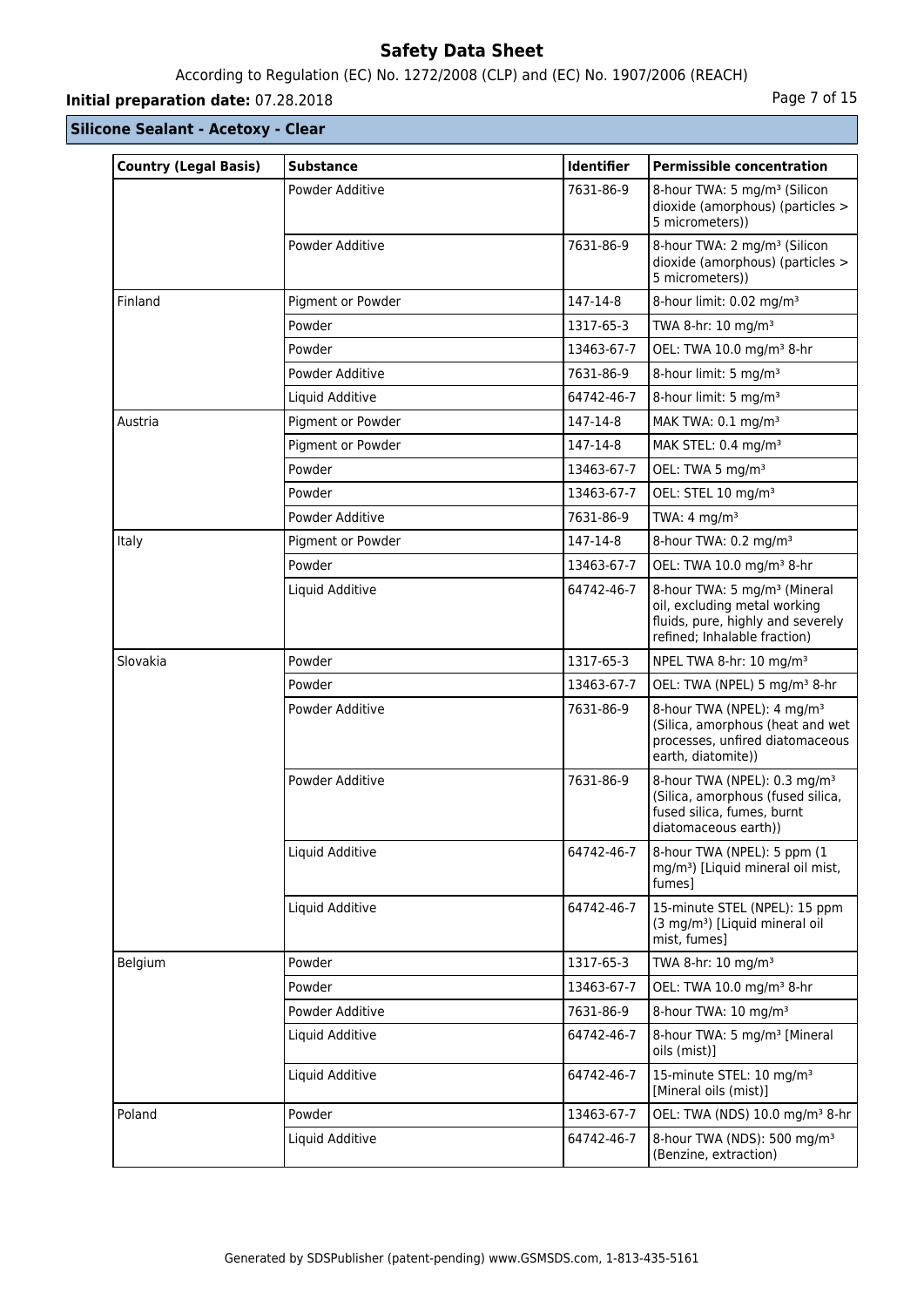## According to Regulation (EC) No. 1272/2008 (CLP) and (EC) No. 1907/2006 (REACH)

## **Initial preparation date:** 07.28.2018 **Page 7 of 15**

| <b>Country (Legal Basis)</b> | <b>Substance</b>  | <b>Identifier</b> | <b>Permissible concentration</b>                                                                                                              |
|------------------------------|-------------------|-------------------|-----------------------------------------------------------------------------------------------------------------------------------------------|
|                              | Powder Additive   | 7631-86-9         | 8-hour TWA: 5 mg/m <sup>3</sup> (Silicon<br>dioxide (amorphous) (particles ><br>5 micrometers))                                               |
|                              | Powder Additive   | 7631-86-9         | 8-hour TWA: 2 mg/m <sup>3</sup> (Silicon<br>dioxide (amorphous) (particles ><br>5 micrometers))                                               |
| Finland                      | Pigment or Powder | 147-14-8          | 8-hour limit: 0.02 mg/m <sup>3</sup>                                                                                                          |
|                              | Powder            | 1317-65-3         | TWA 8-hr: 10 mg/m <sup>3</sup>                                                                                                                |
|                              | Powder            | 13463-67-7        | OEL: TWA 10.0 mg/m <sup>3</sup> 8-hr                                                                                                          |
|                              | Powder Additive   | 7631-86-9         | 8-hour limit: 5 mg/m <sup>3</sup>                                                                                                             |
|                              | Liquid Additive   | 64742-46-7        | 8-hour limit: 5 mg/m <sup>3</sup>                                                                                                             |
| Austria                      | Pigment or Powder | 147-14-8          | MAK TWA: 0.1 mg/m <sup>3</sup>                                                                                                                |
|                              | Pigment or Powder | 147-14-8          | MAK STEL: 0.4 mg/m <sup>3</sup>                                                                                                               |
|                              | Powder            | 13463-67-7        | OEL: TWA 5 mg/m <sup>3</sup>                                                                                                                  |
|                              | Powder            | 13463-67-7        | OEL: STEL 10 mg/m <sup>3</sup>                                                                                                                |
|                              | Powder Additive   | 7631-86-9         | TWA: $4 \text{ mg/m}^3$                                                                                                                       |
| Italy                        | Pigment or Powder | 147-14-8          | 8-hour TWA: 0.2 mg/m <sup>3</sup>                                                                                                             |
|                              | Powder            | 13463-67-7        | OEL: TWA 10.0 mg/m <sup>3</sup> 8-hr                                                                                                          |
|                              | Liquid Additive   | 64742-46-7        | 8-hour TWA: 5 mg/m <sup>3</sup> (Mineral<br>oil, excluding metal working<br>fluids, pure, highly and severely<br>refined; Inhalable fraction) |
| Slovakia                     | Powder            | 1317-65-3         | NPEL TWA 8-hr: 10 mg/m <sup>3</sup>                                                                                                           |
|                              | Powder            | 13463-67-7        | OEL: TWA (NPEL) 5 mg/m <sup>3</sup> 8-hr                                                                                                      |
|                              | Powder Additive   | 7631-86-9         | 8-hour TWA (NPEL): 4 mg/m <sup>3</sup><br>(Silica, amorphous (heat and wet<br>processes, unfired diatomaceous<br>earth, diatomite))           |
|                              | Powder Additive   | 7631-86-9         | 8-hour TWA (NPEL): 0.3 mg/m <sup>3</sup><br>(Silica, amorphous (fused silica,<br>fused silica, fumes, burnt<br>diatomaceous earth))           |
|                              | Liquid Additive   | 64742-46-7        | 8-hour TWA (NPEL): 5 ppm (1<br>mg/m <sup>3</sup> ) [Liquid mineral oil mist,<br>fumes]                                                        |
|                              | Liquid Additive   | 64742-46-7        | 15-minute STEL (NPEL): 15 ppm<br>(3 mg/m <sup>3</sup> ) [Liquid mineral oil<br>mist, fumes]                                                   |
| Belgium                      | Powder            | 1317-65-3         | TWA 8-hr: 10 mg/m <sup>3</sup>                                                                                                                |
|                              | Powder            | 13463-67-7        | OEL: TWA 10.0 mg/m <sup>3</sup> 8-hr                                                                                                          |
|                              | Powder Additive   | 7631-86-9         | 8-hour TWA: 10 mg/m <sup>3</sup>                                                                                                              |
|                              | Liquid Additive   | 64742-46-7        | 8-hour TWA: 5 mg/m <sup>3</sup> [Mineral<br>oils (mist)]                                                                                      |
|                              | Liquid Additive   | 64742-46-7        | 15-minute STEL: 10 mg/m <sup>3</sup><br>[Mineral oils (mist)]                                                                                 |
| Poland                       | Powder            | 13463-67-7        | OEL: TWA (NDS) 10.0 mg/m <sup>3</sup> 8-hr                                                                                                    |
|                              | Liquid Additive   | 64742-46-7        | 8-hour TWA (NDS): 500 mg/m <sup>3</sup><br>(Benzine, extraction)                                                                              |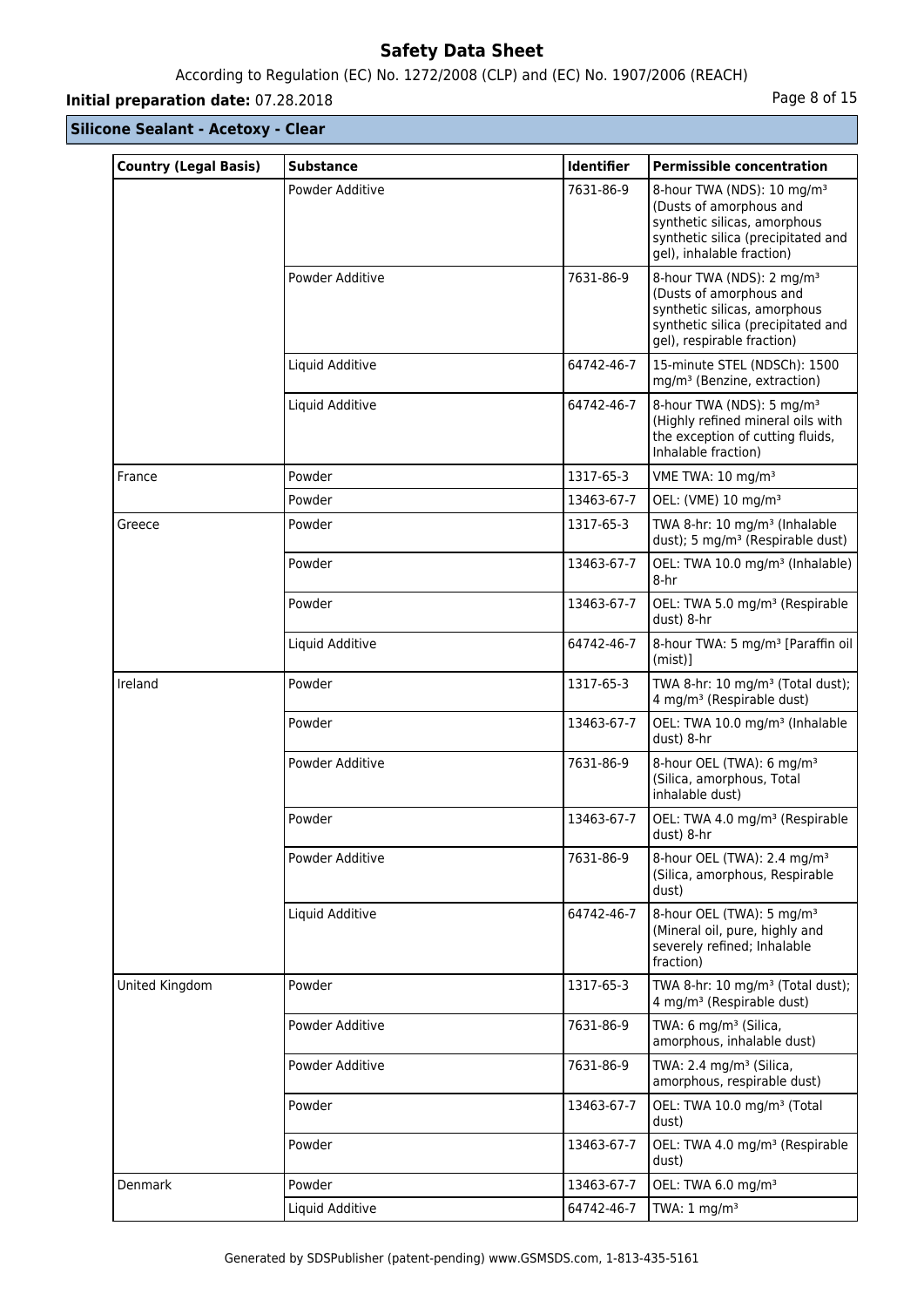### According to Regulation (EC) No. 1272/2008 (CLP) and (EC) No. 1907/2006 (REACH)

## **Initial preparation date:** 07.28.2018 **Page 8 of 15**

| <b>Country (Legal Basis)</b> | <b>Substance</b> | <b>Identifier</b> | <b>Permissible concentration</b>                                                                                                                                     |
|------------------------------|------------------|-------------------|----------------------------------------------------------------------------------------------------------------------------------------------------------------------|
|                              | Powder Additive  | 7631-86-9         | 8-hour TWA (NDS): 10 mg/m <sup>3</sup><br>(Dusts of amorphous and<br>synthetic silicas, amorphous<br>synthetic silica (precipitated and<br>gel), inhalable fraction) |
|                              | Powder Additive  | 7631-86-9         | 8-hour TWA (NDS): 2 mg/m <sup>3</sup><br>(Dusts of amorphous and<br>synthetic silicas, amorphous<br>synthetic silica (precipitated and<br>gel), respirable fraction) |
|                              | Liquid Additive  | 64742-46-7        | 15-minute STEL (NDSCh): 1500<br>mg/m <sup>3</sup> (Benzine, extraction)                                                                                              |
|                              | Liquid Additive  | 64742-46-7        | 8-hour TWA (NDS): 5 mg/m <sup>3</sup><br>(Highly refined mineral oils with<br>the exception of cutting fluids,<br>Inhalable fraction)                                |
| France                       | Powder           | 1317-65-3         | VME TWA: 10 mg/m <sup>3</sup>                                                                                                                                        |
|                              | Powder           | 13463-67-7        | OEL: (VME) 10 mg/m <sup>3</sup>                                                                                                                                      |
| Greece                       | Powder           | 1317-65-3         | TWA 8-hr: 10 mg/m <sup>3</sup> (Inhalable<br>dust); 5 mg/m <sup>3</sup> (Respirable dust)                                                                            |
|                              | Powder           | 13463-67-7        | OEL: TWA 10.0 mg/m <sup>3</sup> (Inhalable)<br>8-hr                                                                                                                  |
|                              | Powder           | 13463-67-7        | OEL: TWA 5.0 mg/m <sup>3</sup> (Respirable<br>dust) 8-hr                                                                                                             |
|                              | Liquid Additive  | 64742-46-7        | 8-hour TWA: 5 mg/m <sup>3</sup> [Paraffin oil  <br>$(mist)$ ]                                                                                                        |
| Ireland                      | Powder           | 1317-65-3         | TWA 8-hr: 10 mg/m <sup>3</sup> (Total dust);<br>4 mg/m <sup>3</sup> (Respirable dust)                                                                                |
|                              | Powder           | 13463-67-7        | OEL: TWA 10.0 mg/m <sup>3</sup> (Inhalable<br>dust) 8-hr                                                                                                             |
|                              | Powder Additive  | 7631-86-9         | 8-hour OEL (TWA): 6 mg/m <sup>3</sup><br>(Silica, amorphous, Total<br>inhalable dust)                                                                                |
|                              | Powder           | 13463-67-7        | OEL: TWA 4.0 mg/m <sup>3</sup> (Respirable<br>dust) 8-hr                                                                                                             |
|                              | Powder Additive  | 7631-86-9         | 8-hour OEL (TWA): 2.4 mg/m <sup>3</sup><br>(Silica, amorphous, Respirable<br>dust)                                                                                   |
|                              | Liquid Additive  | 64742-46-7        | 8-hour OEL (TWA): 5 mg/m <sup>3</sup><br>(Mineral oil, pure, highly and<br>severely refined; Inhalable<br>fraction)                                                  |
| United Kingdom               | Powder           | 1317-65-3         | TWA 8-hr: 10 mg/m <sup>3</sup> (Total dust);<br>4 mg/m <sup>3</sup> (Respirable dust)                                                                                |
|                              | Powder Additive  | 7631-86-9         | TWA: 6 mg/m <sup>3</sup> (Silica,<br>amorphous, inhalable dust)                                                                                                      |
|                              | Powder Additive  | 7631-86-9         | TWA: 2.4 mg/m <sup>3</sup> (Silica,<br>amorphous, respirable dust)                                                                                                   |
|                              | Powder           | 13463-67-7        | OEL: TWA 10.0 mg/m <sup>3</sup> (Total<br>dust)                                                                                                                      |
|                              | Powder           | 13463-67-7        | OEL: TWA 4.0 mg/m <sup>3</sup> (Respirable<br>dust)                                                                                                                  |
| Denmark                      | Powder           | 13463-67-7        | OEL: TWA 6.0 mg/m <sup>3</sup>                                                                                                                                       |
|                              | Liquid Additive  | 64742-46-7        | TWA: $1 \text{ mg/m}^3$                                                                                                                                              |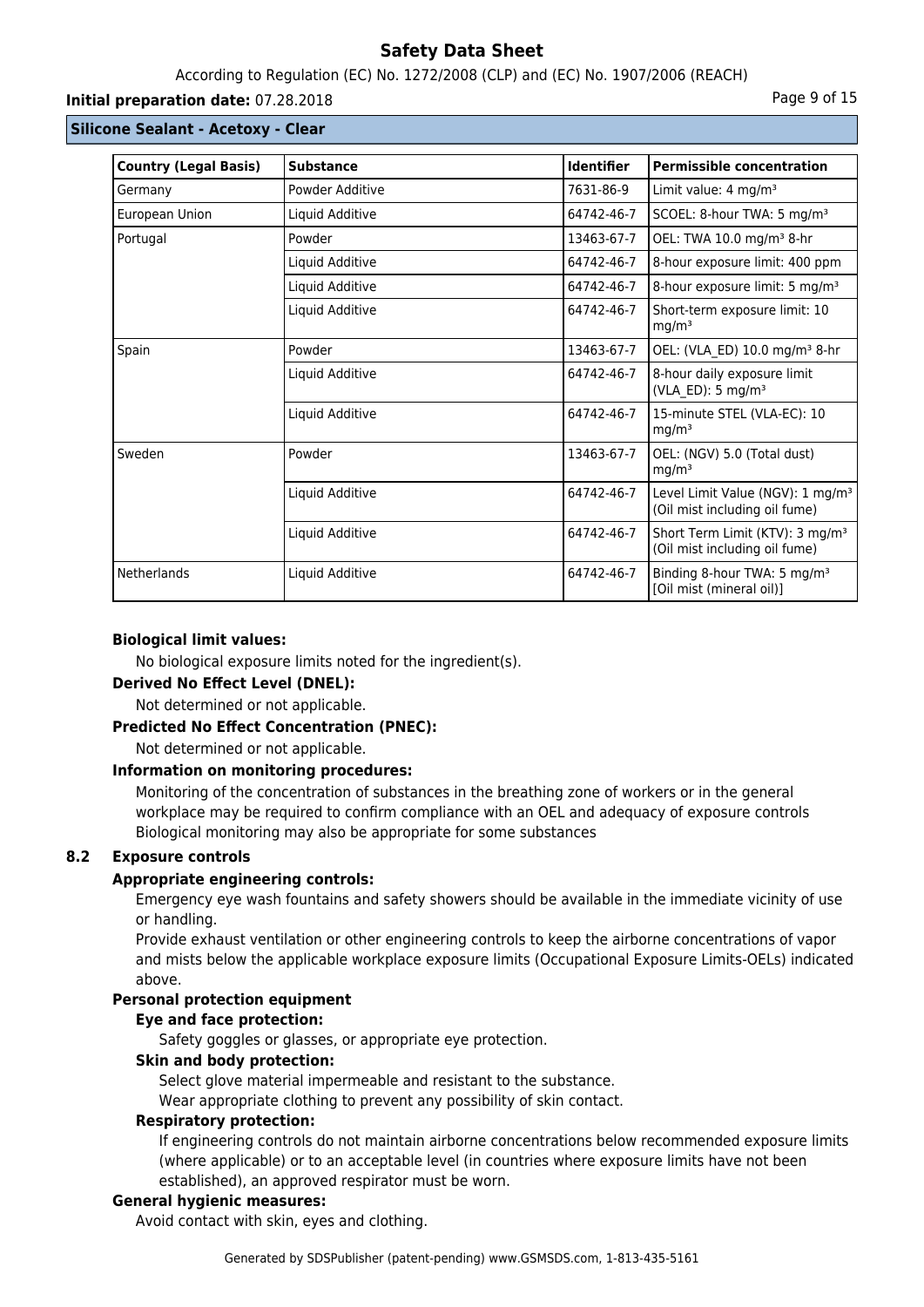#### According to Regulation (EC) No. 1272/2008 (CLP) and (EC) No. 1907/2006 (REACH)

#### **Initial preparation date:** 07.28.2018 **Page 9 of 15**

#### **Silicone Sealant - Acetoxy - Clear**

| <b>Country (Legal Basis)</b> | <b>Substance</b> | <b>Identifier</b> | <b>Permissible concentration</b>                                              |
|------------------------------|------------------|-------------------|-------------------------------------------------------------------------------|
| Germany                      | Powder Additive  | 7631-86-9         | Limit value: 4 mg/m <sup>3</sup>                                              |
| European Union               | Liquid Additive  | 64742-46-7        | SCOEL: 8-hour TWA: 5 mg/m <sup>3</sup>                                        |
| Portugal                     | Powder           | 13463-67-7        | OEL: TWA 10.0 mg/m <sup>3</sup> 8-hr                                          |
|                              | Liquid Additive  | 64742-46-7        | 8-hour exposure limit: 400 ppm                                                |
|                              | Liquid Additive  | 64742-46-7        | 8-hour exposure limit: 5 mg/m <sup>3</sup>                                    |
|                              | Liquid Additive  | 64742-46-7        | Short-term exposure limit: 10<br>mg/m <sup>3</sup>                            |
| Spain                        | Powder           | 13463-67-7        | OEL: (VLA ED) 10.0 mg/m <sup>3</sup> 8-hr                                     |
|                              | Liquid Additive  | 64742-46-7        | 8-hour daily exposure limit<br>(VLA_ED): 5 mg/m <sup>3</sup>                  |
|                              | Liquid Additive  | 64742-46-7        | 15-minute STEL (VLA-EC): 10<br>mg/m <sup>3</sup>                              |
| Sweden                       | Powder           | 13463-67-7        | OEL: (NGV) 5.0 (Total dust)<br>mg/m <sup>3</sup>                              |
|                              | Liquid Additive  | 64742-46-7        | Level Limit Value (NGV): 1 mg/m <sup>3</sup><br>(Oil mist including oil fume) |
|                              | Liquid Additive  | 64742-46-7        | Short Term Limit (KTV): 3 mg/m <sup>3</sup><br>(Oil mist including oil fume)  |
| Netherlands                  | Liquid Additive  | 64742-46-7        | Binding 8-hour TWA: 5 mg/m <sup>3</sup><br>[Oil mist (mineral oil)]           |

#### **Biological limit values:**

No biological exposure limits noted for the ingredient(s).

#### **Derived No Effect Level (DNEL):**

Not determined or not applicable.

#### **Predicted No Effect Concentration (PNEC):**

Not determined or not applicable.

#### **Information on monitoring procedures:**

Monitoring of the concentration of substances in the breathing zone of workers or in the general workplace may be required to confirm compliance with an OEL and adequacy of exposure controls Biological monitoring may also be appropriate for some substances

#### **8.2 Exposure controls**

#### **Appropriate engineering controls:**

Emergency eye wash fountains and safety showers should be available in the immediate vicinity of use or handling.

Provide exhaust ventilation or other engineering controls to keep the airborne concentrations of vapor and mists below the applicable workplace exposure limits (Occupational Exposure Limits-OELs) indicated above.

#### **Personal protection equipment**

#### **Eye and face protection:**

Safety goggles or glasses, or appropriate eye protection.

### **Skin and body protection:**

Select glove material impermeable and resistant to the substance.

Wear appropriate clothing to prevent any possibility of skin contact.

#### **Respiratory protection:**

If engineering controls do not maintain airborne concentrations below recommended exposure limits (where applicable) or to an acceptable level (in countries where exposure limits have not been established), an approved respirator must be worn.

#### **General hygienic measures:**

Avoid contact with skin, eyes and clothing.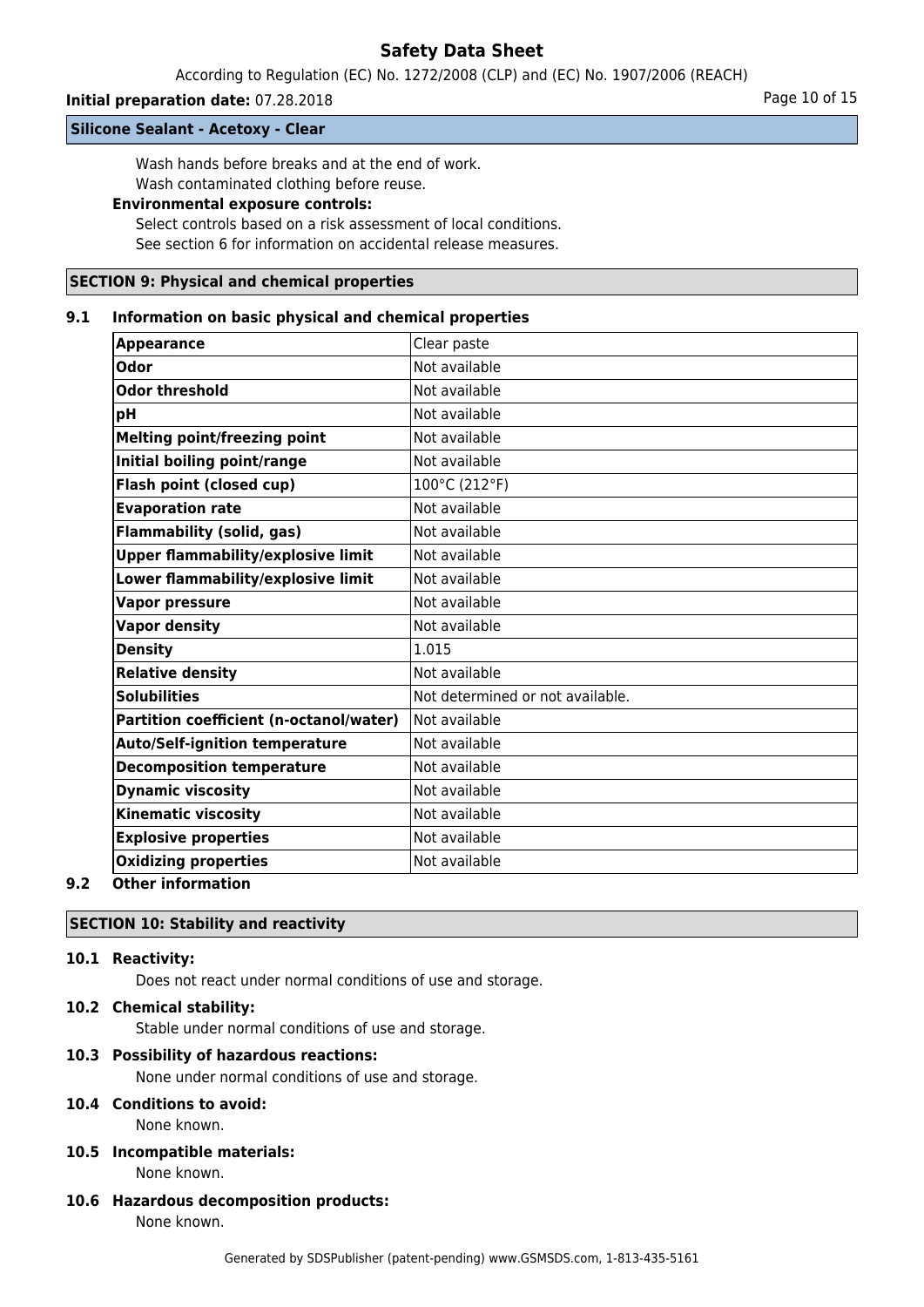According to Regulation (EC) No. 1272/2008 (CLP) and (EC) No. 1907/2006 (REACH)

#### **Initial preparation date:** 07.28.2018 **Page 10 of 15** Page 10 of 15

#### **Silicone Sealant - Acetoxy - Clear**

Wash hands before breaks and at the end of work. Wash contaminated clothing before reuse.

#### **Environmental exposure controls:**

Select controls based on a risk assessment of local conditions. See section 6 for information on accidental release measures.

#### **SECTION 9: Physical and chemical properties**

#### **9.1 Information on basic physical and chemical properties**

| <b>Odor</b><br>Not available<br><b>Odor threshold</b><br>Not available<br>pH<br>Not available<br><b>Melting point/freezing point</b><br>Not available<br>Initial boiling point/range<br>Not available<br>Flash point (closed cup)<br>100°C (212°F)<br>Not available<br><b>Evaporation rate</b><br><b>Flammability (solid, gas)</b><br>Not available<br><b>Upper flammability/explosive limit</b><br>Not available<br>Lower flammability/explosive limit<br>Not available<br><b>Vapor pressure</b><br>Not available<br><b>Vapor density</b><br>Not available<br><b>Density</b><br>1.015<br><b>Relative density</b><br>Not available<br><b>Solubilities</b><br>Not determined or not available.<br>Partition coefficient (n-octanol/water)<br>Not available<br><b>Auto/Self-ignition temperature</b><br>Not available<br><b>Decomposition temperature</b><br>Not available<br><b>Dynamic viscosity</b><br>Not available | <b>Appearance</b>          | Clear paste   |
|-----------------------------------------------------------------------------------------------------------------------------------------------------------------------------------------------------------------------------------------------------------------------------------------------------------------------------------------------------------------------------------------------------------------------------------------------------------------------------------------------------------------------------------------------------------------------------------------------------------------------------------------------------------------------------------------------------------------------------------------------------------------------------------------------------------------------------------------------------------------------------------------------------------------------|----------------------------|---------------|
|                                                                                                                                                                                                                                                                                                                                                                                                                                                                                                                                                                                                                                                                                                                                                                                                                                                                                                                       |                            |               |
|                                                                                                                                                                                                                                                                                                                                                                                                                                                                                                                                                                                                                                                                                                                                                                                                                                                                                                                       |                            |               |
|                                                                                                                                                                                                                                                                                                                                                                                                                                                                                                                                                                                                                                                                                                                                                                                                                                                                                                                       |                            |               |
|                                                                                                                                                                                                                                                                                                                                                                                                                                                                                                                                                                                                                                                                                                                                                                                                                                                                                                                       |                            |               |
|                                                                                                                                                                                                                                                                                                                                                                                                                                                                                                                                                                                                                                                                                                                                                                                                                                                                                                                       |                            |               |
|                                                                                                                                                                                                                                                                                                                                                                                                                                                                                                                                                                                                                                                                                                                                                                                                                                                                                                                       |                            |               |
|                                                                                                                                                                                                                                                                                                                                                                                                                                                                                                                                                                                                                                                                                                                                                                                                                                                                                                                       |                            |               |
|                                                                                                                                                                                                                                                                                                                                                                                                                                                                                                                                                                                                                                                                                                                                                                                                                                                                                                                       |                            |               |
|                                                                                                                                                                                                                                                                                                                                                                                                                                                                                                                                                                                                                                                                                                                                                                                                                                                                                                                       |                            |               |
|                                                                                                                                                                                                                                                                                                                                                                                                                                                                                                                                                                                                                                                                                                                                                                                                                                                                                                                       |                            |               |
|                                                                                                                                                                                                                                                                                                                                                                                                                                                                                                                                                                                                                                                                                                                                                                                                                                                                                                                       |                            |               |
|                                                                                                                                                                                                                                                                                                                                                                                                                                                                                                                                                                                                                                                                                                                                                                                                                                                                                                                       |                            |               |
|                                                                                                                                                                                                                                                                                                                                                                                                                                                                                                                                                                                                                                                                                                                                                                                                                                                                                                                       |                            |               |
|                                                                                                                                                                                                                                                                                                                                                                                                                                                                                                                                                                                                                                                                                                                                                                                                                                                                                                                       |                            |               |
|                                                                                                                                                                                                                                                                                                                                                                                                                                                                                                                                                                                                                                                                                                                                                                                                                                                                                                                       |                            |               |
|                                                                                                                                                                                                                                                                                                                                                                                                                                                                                                                                                                                                                                                                                                                                                                                                                                                                                                                       |                            |               |
|                                                                                                                                                                                                                                                                                                                                                                                                                                                                                                                                                                                                                                                                                                                                                                                                                                                                                                                       |                            |               |
|                                                                                                                                                                                                                                                                                                                                                                                                                                                                                                                                                                                                                                                                                                                                                                                                                                                                                                                       |                            |               |
|                                                                                                                                                                                                                                                                                                                                                                                                                                                                                                                                                                                                                                                                                                                                                                                                                                                                                                                       |                            |               |
|                                                                                                                                                                                                                                                                                                                                                                                                                                                                                                                                                                                                                                                                                                                                                                                                                                                                                                                       | <b>Kinematic viscosity</b> | Not available |
| <b>Explosive properties</b><br>Not available                                                                                                                                                                                                                                                                                                                                                                                                                                                                                                                                                                                                                                                                                                                                                                                                                                                                          |                            |               |
| <b>Oxidizing properties</b><br>Not available                                                                                                                                                                                                                                                                                                                                                                                                                                                                                                                                                                                                                                                                                                                                                                                                                                                                          |                            |               |

#### **9.2 Other information**

### **SECTION 10: Stability and reactivity**

#### **10.1 Reactivity:**

Does not react under normal conditions of use and storage.

#### **10.2 Chemical stability:**

Stable under normal conditions of use and storage.

#### **10.3 Possibility of hazardous reactions:**

None under normal conditions of use and storage.

#### **10.4 Conditions to avoid:**

None known.

#### **10.5 Incompatible materials:** None known.

**10.6 Hazardous decomposition products:** None known.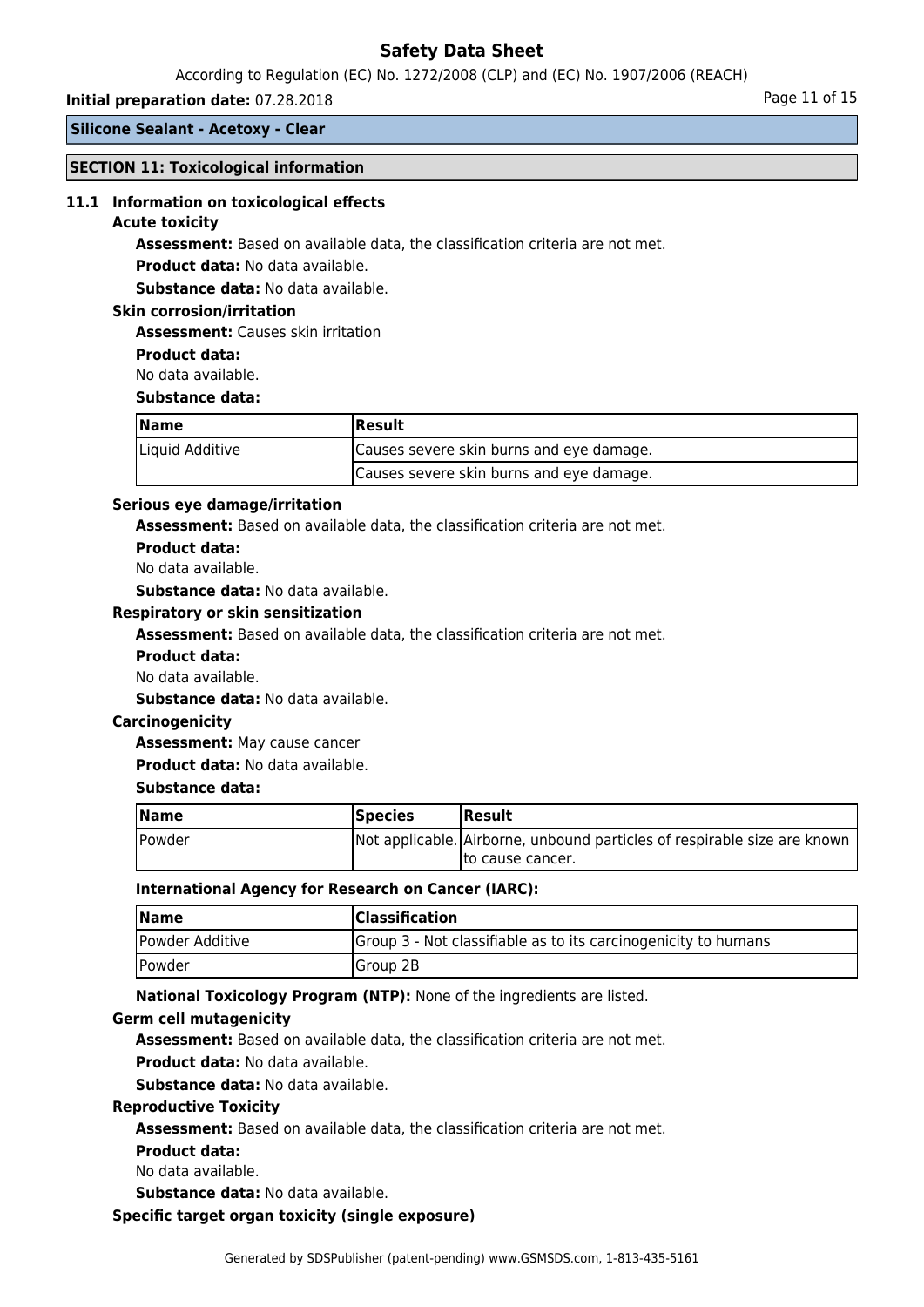According to Regulation (EC) No. 1272/2008 (CLP) and (EC) No. 1907/2006 (REACH)

#### **Initial preparation date:** 07.28.2018 **Page 11 of 15** and the page 11 of 15

**Silicone Sealant - Acetoxy - Clear**

#### **SECTION 11: Toxicological information**

#### **11.1 Information on toxicological effects**

#### **Acute toxicity**

**Assessment:** Based on available data, the classification criteria are not met.

**Product data:** No data available.

**Substance data:** No data available.

#### **Skin corrosion/irritation**

**Assessment:** Causes skin irritation

**Product data:**

No data available.

#### **Substance data:**

| Name            | Result                                   |  |
|-----------------|------------------------------------------|--|
| Liquid Additive | Causes severe skin burns and eye damage. |  |
|                 | Causes severe skin burns and eye damage. |  |

#### **Serious eye damage/irritation**

**Assessment:** Based on available data, the classification criteria are not met.

**Product data:**

No data available.

**Substance data:** No data available.

#### **Respiratory or skin sensitization**

**Assessment:** Based on available data, the classification criteria are not met.

- **Product data:**
- No data available.

**Substance data:** No data available.

#### **Carcinogenicity**

**Assessment:** May cause cancer

**Product data:** No data available.

### **Substance data:**

| <b>Name</b> | <b>Species</b> | <b>IResult</b>                                                           |
|-------------|----------------|--------------------------------------------------------------------------|
| Powder      |                | Not applicable. Airborne, unbound particles of respirable size are known |
|             |                | Ito cause cancer.                                                        |

#### **International Agency for Research on Cancer (IARC):**

| <b>Name</b>                 | <b>Classification</b>                                          |
|-----------------------------|----------------------------------------------------------------|
| Powder Additive             | Group 3 - Not classifiable as to its carcinogenicity to humans |
| <i><u><b>Powder</b></u></i> | Group 2B                                                       |

**National Toxicology Program (NTP):** None of the ingredients are listed.

#### **Germ cell mutagenicity**

**Assessment:** Based on available data, the classification criteria are not met.

**Product data:** No data available.

**Substance data:** No data available.

#### **Reproductive Toxicity**

**Assessment:** Based on available data, the classification criteria are not met.

#### **Product data:**

No data available.

**Substance data:** No data available.

#### **Specific target organ toxicity (single exposure)**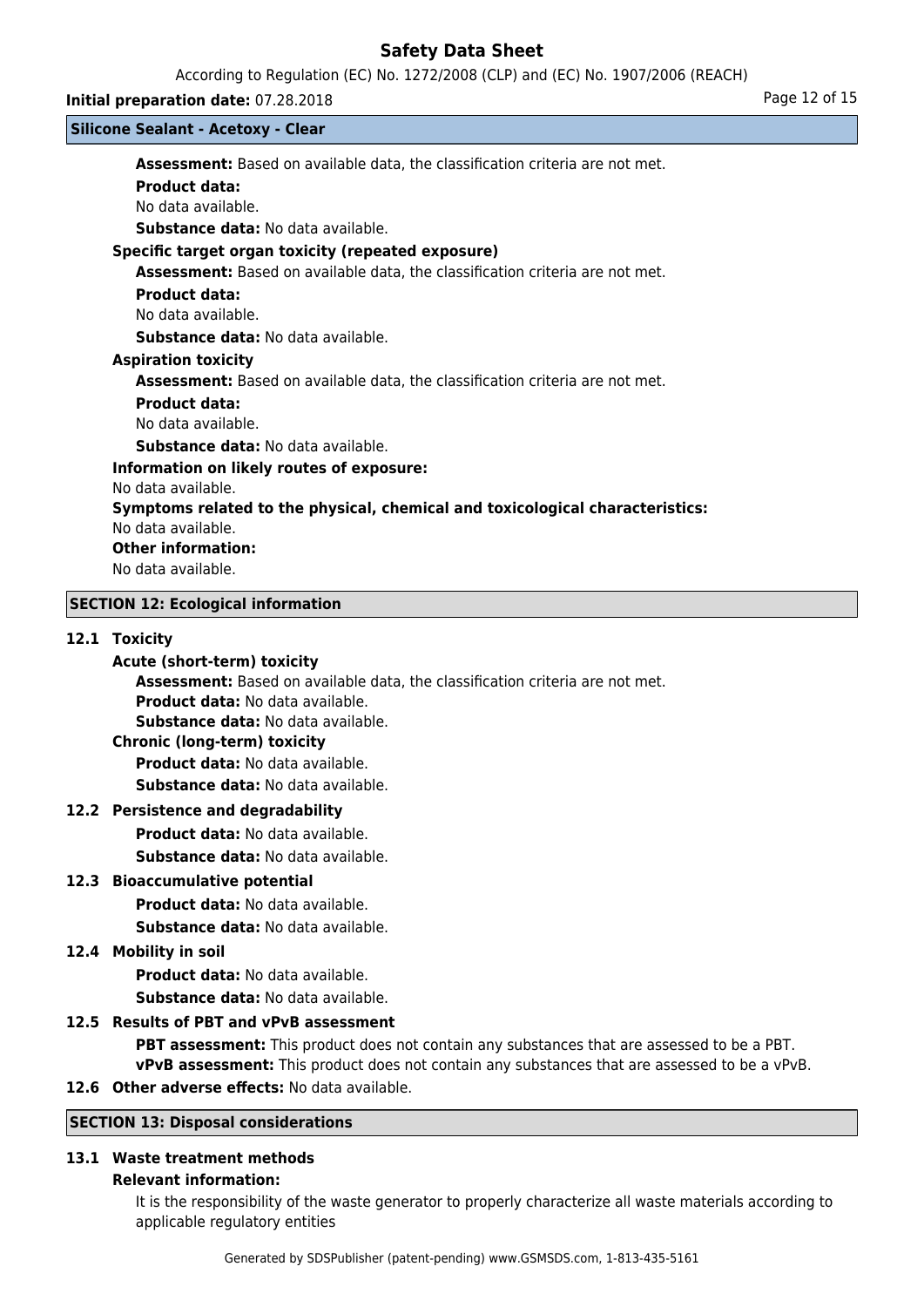According to Regulation (EC) No. 1272/2008 (CLP) and (EC) No. 1907/2006 (REACH)

#### **Initial preparation date:** 07.28.2018 **Page 12 of 15**

#### **Silicone Sealant - Acetoxy - Clear**

**Assessment:** Based on available data, the classification criteria are not met. **Product data:** No data available. **Substance data:** No data available. **Specific target organ toxicity (repeated exposure) Assessment:** Based on available data, the classification criteria are not met. **Product data:** No data available. **Substance data:** No data available. **Aspiration toxicity Assessment:** Based on available data, the classification criteria are not met. **Product data:** No data available. **Substance data:** No data available. **Information on likely routes of exposure:** No data available. **Symptoms related to the physical, chemical and toxicological characteristics:** No data available. **Other information:** No data available. **SECTION 12: Ecological information**

# **12.1 Toxicity**

### **Acute (short-term) toxicity**

**Assessment:** Based on available data, the classification criteria are not met.

**Product data:** No data available.

**Substance data:** No data available.

#### **Chronic (long-term) toxicity**

**Product data:** No data available.

**Substance data:** No data available.

### **12.2 Persistence and degradability**

**Product data:** No data available.

**Substance data:** No data available.

### **12.3 Bioaccumulative potential**

**Product data:** No data available.

**Substance data:** No data available.

### **12.4 Mobility in soil**

**Product data:** No data available. **Substance data:** No data available.

### **12.5 Results of PBT and vPvB assessment**

**PBT assessment:** This product does not contain any substances that are assessed to be a PBT. **vPvB assessment:** This product does not contain any substances that are assessed to be a vPvB.

**12.6 Other adverse effects:** No data available.

### **SECTION 13: Disposal considerations**

### **13.1 Waste treatment methods**

#### **Relevant information:**

It is the responsibility of the waste generator to properly characterize all waste materials according to applicable regulatory entities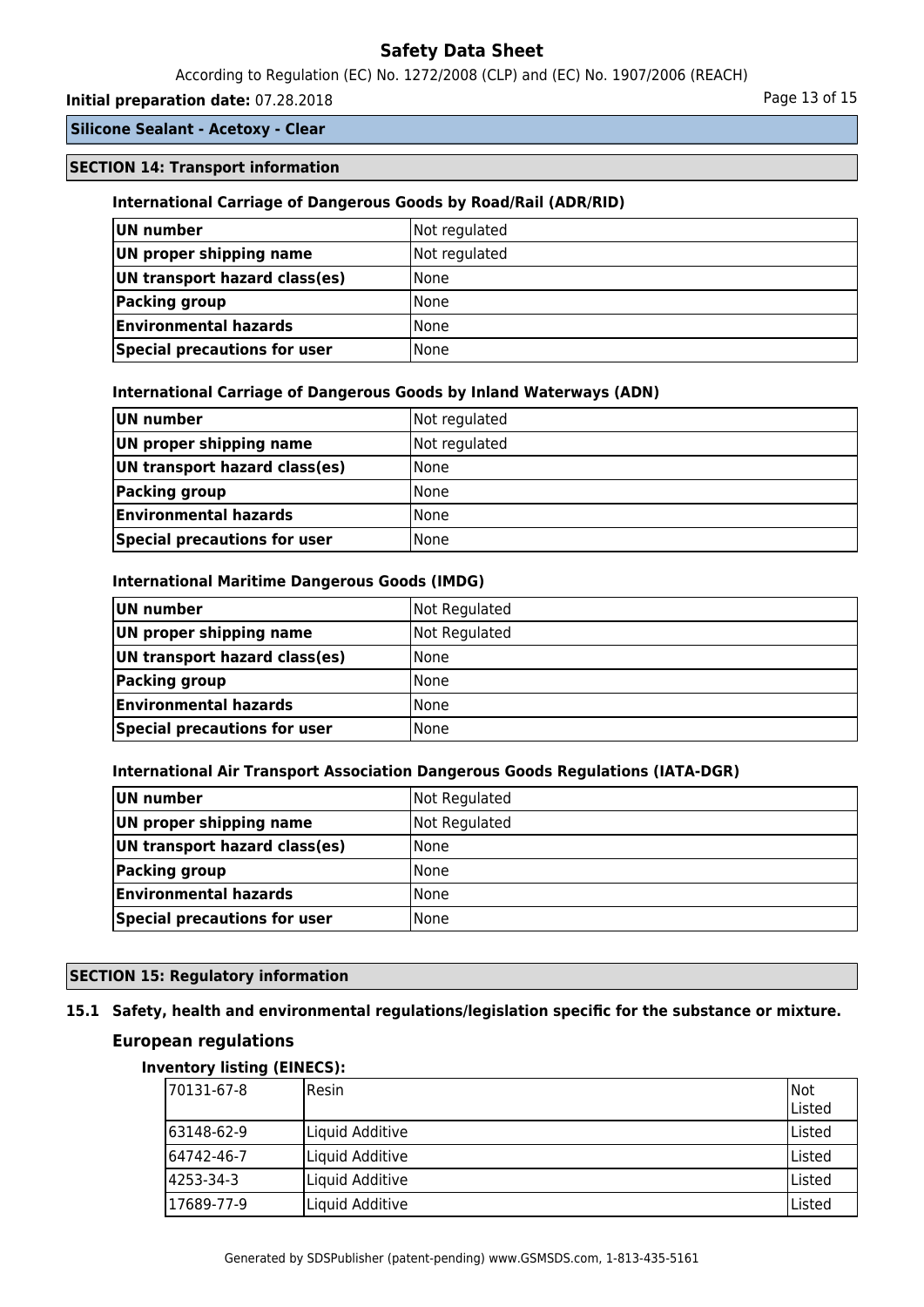According to Regulation (EC) No. 1272/2008 (CLP) and (EC) No. 1907/2006 (REACH)

### **Initial preparation date:** 07.28.2018 **Page 13 of 15** Page 13 of 15

### **Silicone Sealant - Acetoxy - Clear**

#### **SECTION 14: Transport information**

#### **International Carriage of Dangerous Goods by Road/Rail (ADR/RID)**

| UN number                     | Not regulated |
|-------------------------------|---------------|
| UN proper shipping name       | Not regulated |
| UN transport hazard class(es) | l None        |
| Packing group                 | l None        |
| <b>Environmental hazards</b>  | l None        |
| Special precautions for user  | l None        |

#### **International Carriage of Dangerous Goods by Inland Waterways (ADN)**

| UN number                     | Not regulated |
|-------------------------------|---------------|
| UN proper shipping name       | Not regulated |
| UN transport hazard class(es) | <b>None</b>   |
| Packing group                 | <b>None</b>   |
| <b>Environmental hazards</b>  | <b>None</b>   |
| Special precautions for user  | l None        |

#### **International Maritime Dangerous Goods (IMDG)**

| UN number                     | Not Regulated |
|-------------------------------|---------------|
| UN proper shipping name       | Not Regulated |
| UN transport hazard class(es) | l None        |
| Packing group                 | None          |
| <b>Environmental hazards</b>  | None          |
| Special precautions for user  | l None        |

#### **International Air Transport Association Dangerous Goods Regulations (IATA-DGR)**

| UN number                     | Not Regulated |
|-------------------------------|---------------|
| UN proper shipping name       | Not Regulated |
| UN transport hazard class(es) | l None        |
| <b>Packing group</b>          | l None        |
| <b>Environmental hazards</b>  | l None        |
| Special precautions for user  | None          |

### **SECTION 15: Regulatory information**

# **15.1 Safety, health and environmental regulations/legislation specific for the substance or mixture.**

### **European regulations**

#### **Inventory listing (EINECS):**

| 170131-67-8 | <b>I</b> Resin  | Not<br>lListed |
|-------------|-----------------|----------------|
| 163148-62-9 | Liquid Additive | Listed         |
| 164742-46-7 | Liquid Additive | Listed         |
| 4253-34-3   | Liquid Additive | ا Listed       |
| 17689-77-9  | Liquid Additive | Listed         |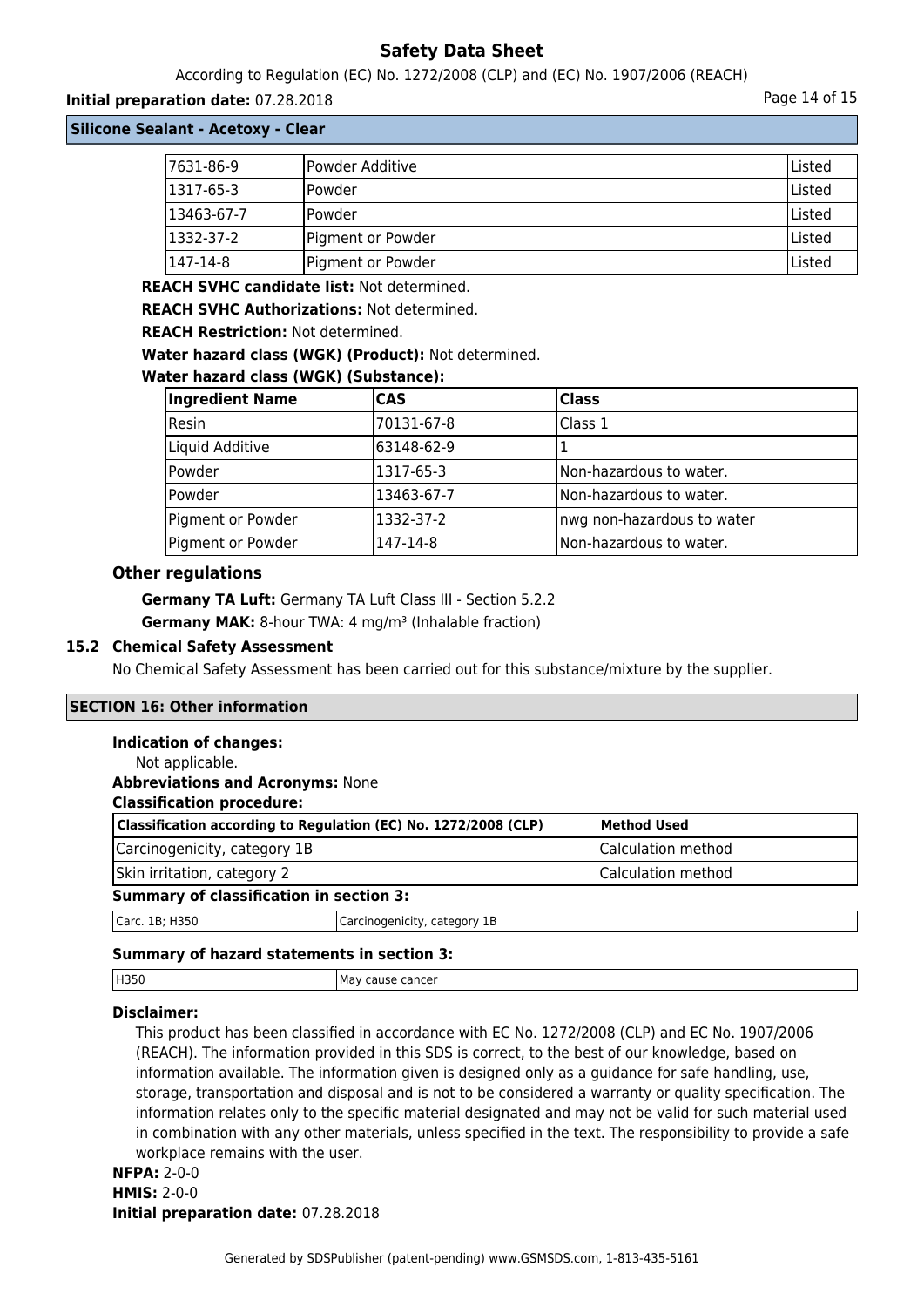According to Regulation (EC) No. 1272/2008 (CLP) and (EC) No. 1907/2006 (REACH)

#### **Initial preparation date:** 07.28.2018 **Page 14 of 15**

**Silicone Sealant - Acetoxy - Clear**

| 7631-86-9  | Powder Additive   | lListed |
|------------|-------------------|---------|
| 1317-65-3  | lPowder           | Listed  |
| 13463-67-7 | lPowder           | lListed |
| 1332-37-2  | Pigment or Powder | lListed |
| 147-14-8   | Pigment or Powder | Listed  |

**REACH SVHC candidate list:** Not determined.

**REACH SVHC Authorizations:** Not determined.

**REACH Restriction:** Not determined.

**Water hazard class (WGK) (Product):** Not determined.

#### **Water hazard class (WGK) (Substance):**

| <b>Ingredient Name</b> | <b>CAS</b> | <b>Class</b>               |
|------------------------|------------|----------------------------|
| Resin                  | 70131-67-8 | Class 1                    |
| Liquid Additive        | 63148-62-9 |                            |
| Powder                 | 1317-65-3  | Non-hazardous to water.    |
| lPowder                | 13463-67-7 | Non-hazardous to water.    |
| Pigment or Powder      | 1332-37-2  | nwg non-hazardous to water |
| Pigment or Powder      | 147-14-8   | Non-hazardous to water.    |

#### **Other regulations**

**Germany TA Luft:** Germany TA Luft Class III - Section 5.2.2 **Germany MAK:** 8-hour TWA: 4 mg/m<sup>3</sup> (Inhalable fraction)

#### **15.2 Chemical Safety Assessment**

No Chemical Safety Assessment has been carried out for this substance/mixture by the supplier.

### **SECTION 16: Other information**

#### **Indication of changes:**

| Not applicable.                                |  |                                                                 |                    |  |
|------------------------------------------------|--|-----------------------------------------------------------------|--------------------|--|
| <b>Abbreviations and Acronyms: None</b>        |  |                                                                 |                    |  |
| <b>Classification procedure:</b>               |  |                                                                 |                    |  |
|                                                |  | Classification according to Regulation (EC) No. 1272/2008 (CLP) | <b>Method Used</b> |  |
| Carcinogenicity, category 1B                   |  | Calculation method                                              |                    |  |
| Skin irritation, category 2                    |  | Calculation method                                              |                    |  |
| <b>Summary of classification in section 3:</b> |  |                                                                 |                    |  |
| Carc. 1B; H350                                 |  | Carcinogenicity, category 1B                                    |                    |  |
|                                                |  |                                                                 |                    |  |

### **Summary of hazard statements in section 3:**

| H350 | I M.<br>್ಷವಾರ Cancer<br>יי |
|------|----------------------------|
|      |                            |

### **Disclaimer:**

This product has been classified in accordance with EC No. 1272/2008 (CLP) and EC No. 1907/2006 (REACH). The information provided in this SDS is correct, to the best of our knowledge, based on information available. The information given is designed only as a guidance for safe handling, use, storage, transportation and disposal and is not to be considered a warranty or quality specification. The information relates only to the specific material designated and may not be valid for such material used in combination with any other materials, unless specified in the text. The responsibility to provide a safe workplace remains with the user.

### **NFPA:** 2-0-0 **HMIS:** 2-0-0 **Initial preparation date:** 07.28.2018